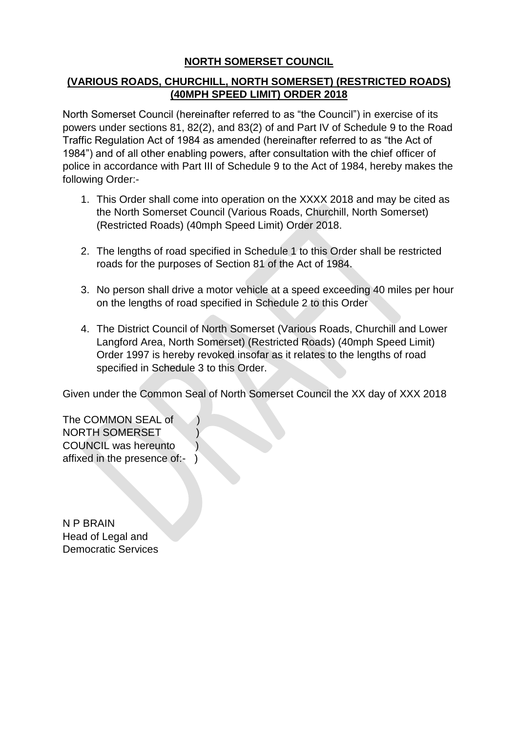## **NORTH SOMERSET COUNCIL**

## **(VARIOUS ROADS, CHURCHILL, NORTH SOMERSET) (RESTRICTED ROADS) (40MPH SPEED LIMIT) ORDER 2018**

North Somerset Council (hereinafter referred to as "the Council") in exercise of its powers under sections 81, 82(2), and 83(2) of and Part IV of Schedule 9 to the Road Traffic Regulation Act of 1984 as amended (hereinafter referred to as "the Act of 1984") and of all other enabling powers, after consultation with the chief officer of police in accordance with Part III of Schedule 9 to the Act of 1984, hereby makes the following Order:-

- 1. This Order shall come into operation on the XXXX 2018 and may be cited as the North Somerset Council (Various Roads, Churchill, North Somerset) (Restricted Roads) (40mph Speed Limit) Order 2018.
- 2. The lengths of road specified in Schedule 1 to this Order shall be restricted roads for the purposes of Section 81 of the Act of 1984.
- 3. No person shall drive a motor vehicle at a speed exceeding 40 miles per hour on the lengths of road specified in Schedule 2 to this Order
- 4. The District Council of North Somerset (Various Roads, Churchill and Lower Langford Area, North Somerset) (Restricted Roads) (40mph Speed Limit) Order 1997 is hereby revoked insofar as it relates to the lengths of road specified in Schedule 3 to this Order.

Given under the Common Seal of North Somerset Council the XX day of XXX 2018

The COMMON SEAL of ) NORTH SOMERSET ) COUNCIL was hereunto ) affixed in the presence of:- )

N P BRAIN Head of Legal and Democratic Services